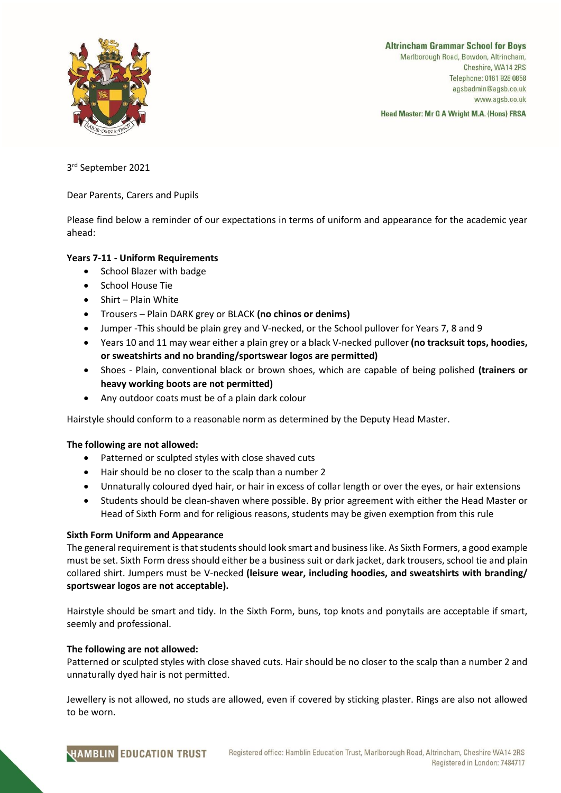

**Altrincham Grammar School for Boys** Marlborough Road, Bowdon, Altrincham, Cheshire, WA14 2RS Telephone: 0161 928 0858 agsbadmin@agsb.co.uk www.agsb.co.uk

Head Master: Mr G A Wright M.A. (Hons) FRSA

3 rd September 2021

Dear Parents, Carers and Pupils

Please find below a reminder of our expectations in terms of uniform and appearance for the academic year ahead:

# **Years 7-11 - Uniform Requirements**

- School Blazer with badge
- School House Tie
- Shirt Plain White
- Trousers Plain DARK grey or BLACK **(no chinos or denims)**
- Jumper -This should be plain grey and V-necked, or the School pullover for Years 7, 8 and 9
- Years 10 and 11 may wear either a plain grey or a black V-necked pullover **(no tracksuit tops, hoodies, or sweatshirts and no branding/sportswear logos are permitted)**
- Shoes Plain, conventional black or brown shoes, which are capable of being polished **(trainers or heavy working boots are not permitted)**
- Any outdoor coats must be of a plain dark colour

Hairstyle should conform to a reasonable norm as determined by the Deputy Head Master.

## **The following are not allowed:**

- Patterned or sculpted styles with close shaved cuts
- Hair should be no closer to the scalp than a number 2
- Unnaturally coloured dyed hair, or hair in excess of collar length or over the eyes, or hair extensions
- Students should be clean-shaven where possible. By prior agreement with either the Head Master or Head of Sixth Form and for religious reasons, students may be given exemption from this rule

## **Sixth Form Uniform and Appearance**

The general requirement is that students should look smart and business like. As Sixth Formers, a good example must be set. Sixth Form dress should either be a business suit or dark jacket, dark trousers, school tie and plain collared shirt. Jumpers must be V-necked **(leisure wear, including hoodies, and sweatshirts with branding/ sportswear logos are not acceptable).**

Hairstyle should be smart and tidy. In the Sixth Form, buns, top knots and ponytails are acceptable if smart, seemly and professional.

## **The following are not allowed:**

Patterned or sculpted styles with close shaved cuts. Hair should be no closer to the scalp than a number 2 and unnaturally dyed hair is not permitted.

Jewellery is not allowed, no studs are allowed, even if covered by sticking plaster. Rings are also not allowed to be worn.